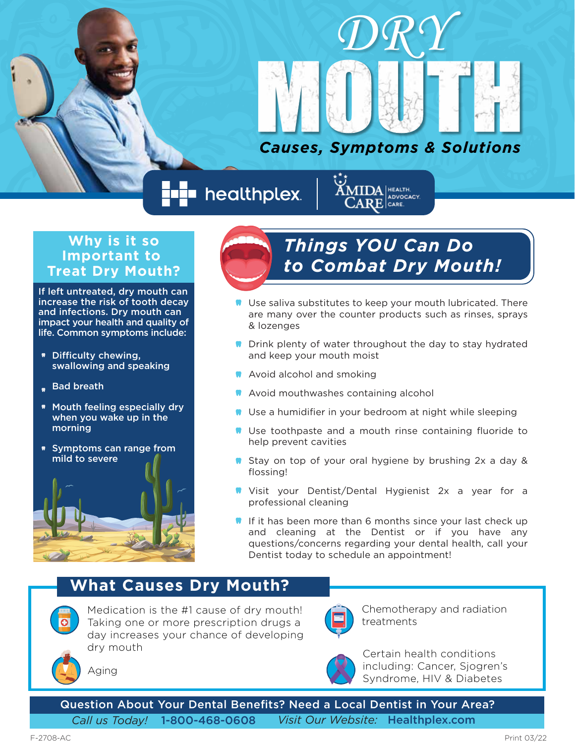

*DRY*

nealthplex.



## **Why is it so Important to Treat Dry Mouth?**

If left untreated, dry mouth can increase the risk of tooth decay and infections. Dry mouth can impact your health and quality of life. Common symptoms include:

- \* Difficulty chewing, swallowing and speaking
- Bad breath
- Mouth feeling especially dry when you wake up in the morning
- Symptoms can range from mild to severe



# *Things YOU Can Do to Combat Dry Mouth!*

- **Use saliva substitutes to keep your mouth lubricated. There** are many over the counter products such as rinses, sprays & lozenges
- **Drink plenty of water throughout the day to stay hydrated** and keep your mouth moist
- **M** Avoid alcohol and smoking
- **A** Avoid mouthwashes containing alcohol
- **W** Use a humidifier in your bedroom at night while sleeping
- **N** Use toothpaste and a mouth rinse containing fluoride to help prevent cavities
- Stay on top of your oral hygiene by brushing 2x a day & flossing!
- **W** Visit your Dentist/Dental Hygienist 2x a year for a professional cleaning
- If it has been more than 6 months since your last check up and cleaning at the Dentist or if you have any questions/concerns regarding your dental health, call your Dentist today to schedule an appointment!

## **What Causes Dry Mouth?**



Medication is the #1 cause of dry mouth! Taking one or more prescription drugs a day increases your chance of developing dry mouth



Chemotherapy and radiation treatments



Certain health conditions including: Cancer, Sjogren's Syndrome, HIV & Diabetes

Aging

Question About Your Dental Benefits? Need a Local Dentist in Your Area?

*Call us Today!* 1-800-468-0608 *Visit Our Website:* Healthplex.com